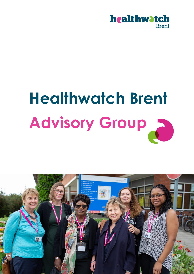

# **Healthwatch Brent Advisory Group**

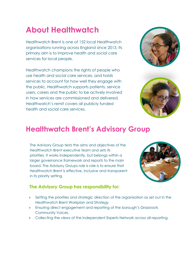# **About Healthwatch**

Healthwatch Brent is one of 152 local Healthwatch organisations running across England since 2013. Its primary aim is to improve health and social care services for local people.

Healthwatch champions the rights of people who use health and social care services, and holds services to account for how well they engage with the public. Healthwatch supports patients, service users, carers and the public to be actively involved in how services are commissioned and delivered. Healthwatch's remit covers all publicly funded health and social care services.





# **Healthwatch Brent's Advisory Group**

The Advisory Group tests the aims and objectives of the Healthwatch Brent executive team and sets its priorities. It works independently, but belongs within a larger governance framework and reports to the main board. The Advisory Groups role is role is to ensure that Healthwatch Brent is effective, inclusive and transparent in its priority setting.

# **The Advisory Group has responsibility for:**

- Setting the priorities and strategic direction of the organisation as set out in the Healthwatch Brent Workplan and Strategy
- Ensuring direct engagement and reporting of the borough's Grassroots Community Voices.
- **Collecting the views of the Independent Experts Network across all reporting.**

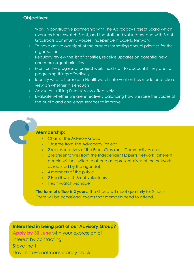# **Objectives:**

- Work in constructive partnership with The Advocacy Project Board which overseas Healthwatch Brent, and the staff and volunteers, and with Brent Grassroots Community Voices, Independent Experts Network,
- **To have active oversight of the process for setting annual priorities for the** organisation
- Regularly review the list of priorities, receive updates on potential new and more urgent priorities
- Monitor the progress of project work, hold staff to account if they are not progressing things effectively
- Identify what difference a Healthwatch intervention has made and take a view on whether it is enough
- Advise on utilising Enter & View effectively
- Evaluate whether we are effectively balancing how we raise the voices of the public and challenge services to improve

# **Membership:**

- **Chair of the Advisory Group**
- <sup>2</sup> 1 trustee from The Advocacy Project
- 2 representatives of the Brent Grassroots Community Voices
- 2 representatives from the Independent Experts Network (different people will be invited to attend as representatives of the network as required by the agenda).
- **4** members of the public
- **2 Healthwatch Brent volunteers**
- **EXECUTE Healthwatch Manager**

**The term of office is 2 years.** The Group will meet quarterly for 2 hours. There will be occasional events that members need to attend.

# **Interested in being part of our Advisory Group?**

**Apply by 30 June** with your expression of interest by contacting Steve Inett: [steve@steveinettconsultancy.co.uk](mailto:steve@steveinettconsultancy.co.uk)